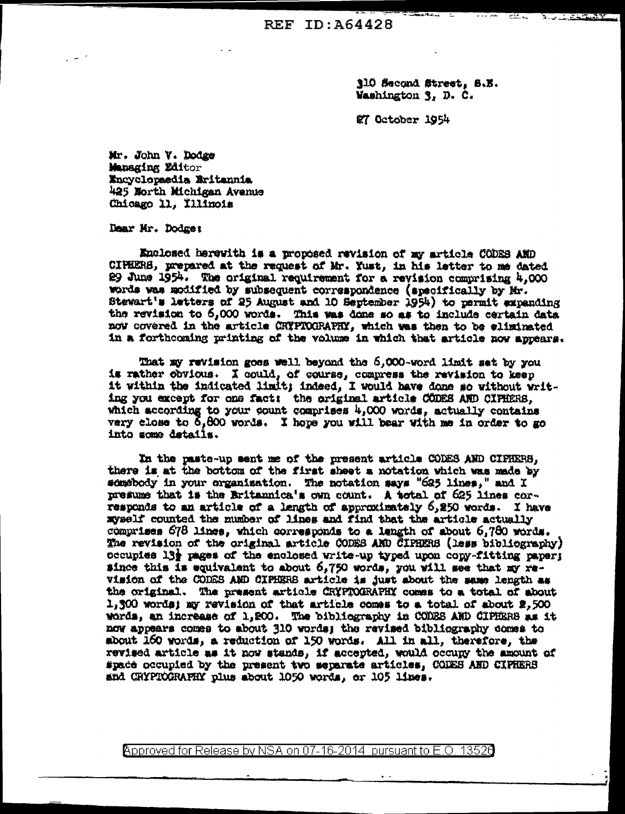310 Second Street, S.E. Washington 3, D. C.

**ALL CENTURY** 

盒7 October 1954

Mr. John V. Dodge Managing Editor Encyclopaedia Britannia 425 North Michigan Avenue Chicago 11, Illinois

Dear Mr. Dodge:

Enclosed herewith is a proposed revision of my article CODES AND CIPHERS, prepared at the request of Mr. Yust, in his letter to me dated 29 June 1954. The original requirement for a revision comprising 4,000 words was modified by subsequent correspondence (specifically by Mr. Stewart's letters of 25 August and 10 September 1954) to permit expanding the revision to 6,000 words. This was done so as to include certain data now covered in the article CRYPTOGRAPHY, which was then to be eliminated in a forthcoming printing of the volume in which that article now appears.

That my revision goes well beyond the 6,000-word limit set by you is rather obvious. I could, of course, compress the revision to keep it within the indicated limit; indeed, I would have done so without writing you except for one fact: the original article CODES AND CIPHERS. which according to your count comprises 4,000 words, actually contains very close to 6,800 words. I hope you will bear with me in order to go into some details.

In the paste-up sent me of the present article CODES AND CIPHERS. there is at the bottom of the first sheet a notation which was made by somebody in your organisation. The notation says "625 lines," and I presume that is the Britannica's own count. A total of 625 lines corresponds to an article of a length of approximately 6,250 words. I have myself counted the number of lines and find that the article actually comprises 678 lines, which corresponds to a length of about 6,780 words. The revision of the original article CODES AND CIPHERS (less bibliography) occupies 13} pages of the enclosed write-up typed upon copy-fitting paper; since this is equivalent to about 6,750 words, you will see that my revision of the CODES AND CIPHERS article is just about the same length as the original. The present article CRYPTOGRAPHY comes to a total of about 1,300 words; my revision of that article comes to a total of about  $\bar{x}$ ,500 words, an increase of 1,200. The bibliography in CODES AND CIPHERS as it now appears comes to about 310 words; the revised bibliography domes to sbout 160 yords, a reduction of 150 yords. All in all, therefore, the revised article as it now stands, if accepted, would occupy the amount of #pace occupied by the present two separate articles. CODES AND CIPRERS and CRYPTOCRAPHY plus about 1050 words, or 105 lines.

Approved for Release by NSA on 07-16-2014 pursuant to E.O. 13526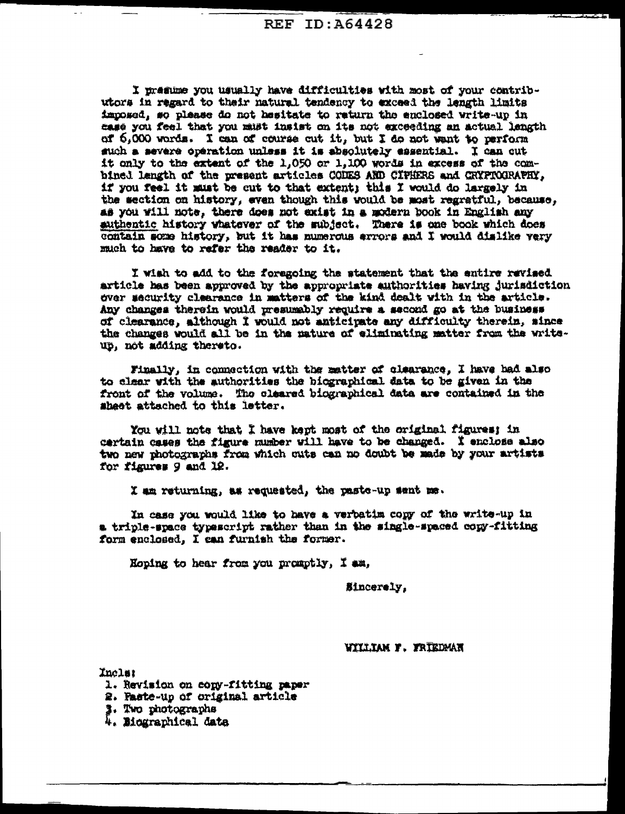I presume you usually have difficulties with most of your contributors in regard to their natural tendency to exceed the length limits imposed, so please do not hesitate to return the enclosed write-up in mase you feel that you must insist on its not exceeding an actual langth of 6.000 words. I can of course cut it, but I do not want to perform such a severe operation unless it is absolutely essential. I can cut it only to the extent of the 1,050 or 1,100 words in excess of the combined langth of the present articles CODES AND CIPHERS and CRYPTOGRAPHY, if you feel it must be cut to that extent; this I would do largely in the section on history, even though this would be most regratful, because, as you will note, there does not exist in a modern book in English any authentic history whatever of the subject. There is one book which does contain some history, but it has numerous arrors and I would dislike very much to have to refer the reader to it.

I wish to add to the foregoing the statement that the entire revised article has been approved by the appropriate authorities having jurisdiction over security clearance in matters of the kind dealt with in the article. Any changes therein would presumably require a second go at the business of clearance, although I would not anticipate any difficulty therein, since the changes would all be in the nature of eliminating matter from the writeup, not adding thereto.

Finally, in connection with the matter of clearance, I have had also to clear with the authorities the biographical data to be given in the front of the volume. The cleared biographical data are contained in the sheet attached to this letter.

You will note that I have kept most of the original figures; in cartain cases the figure mumber will have to be changed. I enclose also two new photographs from which cuts can no doubt be made by your artists for figures 9 and 12.

I am returning, as requested, the paste-up sent me.

In case you would like to have a verbatim copy of the write-up in a triple-space typescript rather than in the single-spaced copy-fitting form enclosed, I can furnish the former.

Hoping to hear from you promptly, I am,

Sincerely,

## WILLIAM F. FRIEDMAN

Inclar

- 1. Revision on copy-fitting paper
- 2. Paste-up of original article
- 3. Two photographs
- 4. Mographical data